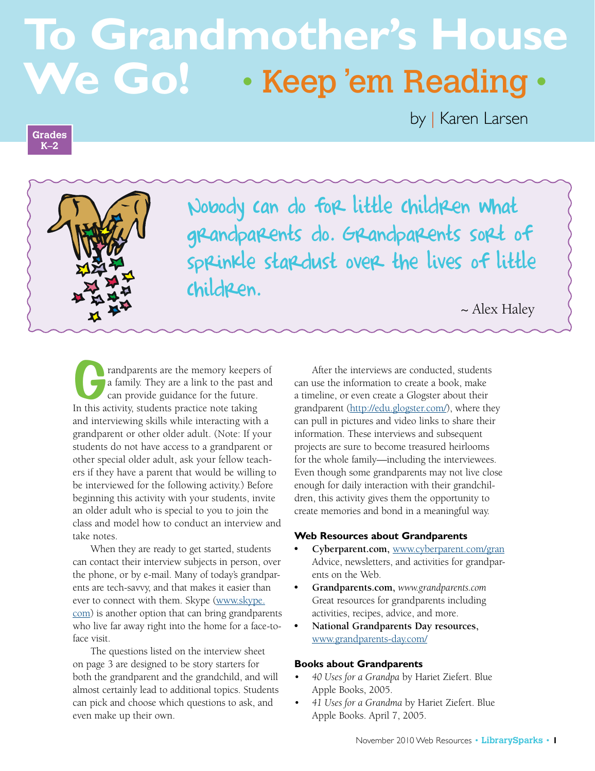# **To Grandmother's House We Go!** • Keep 'em Reading •

#### **Grades K–2**

by | Karen Larsen



Nobody can do for little children what grandparents do. Grandparents sort of sprinkle stardust over the lives of little children.

~ Alex Haley

randparents are the memory keepers of a family. They are a link to the past and can provide guidance for the future. In this activity, students practice note taking and interviewing skills while interacting with a grandparent or other older adult. (Note: If your students do not have access to a grandparent or other special older adult, ask your fellow teachers if they have a parent that would be willing to be interviewed for the following activity.) Before beginning this activity with your students, invite an older adult who is special to you to join the class and model how to conduct an interview and take notes.

When they are ready to get started, students can contact their interview subjects in person, over the phone, or by e-mail. Many of today's grandparents are tech-savvy, and that makes it easier than ever to connect with them. Skype (www.skype. com) is another option that can bring grandparents who live far away right into the home for a face-toface visit.

The questions listed on the interview sheet on page 3 are designed to be story starters for both the grandparent and the grandchild, and will almost certainly lead to additional topics. Students can pick and choose which questions to ask, and even make up their own.

After the interviews are conducted, students can use the information to create a book, make a timeline, or even create a Glogster about their grandparent (http://edu.glogster.com/), where they can pull in pictures and video links to share their information. These interviews and subsequent projects are sure to become treasured heirlooms for the whole family—including the interviewees. Even though some grandparents may not live close enough for daily interaction with their grandchildren, this activity gives them the opportunity to create memories and bond in a meaningful way.

#### **Web Resources about Grandparents**

- **• Cyberparent.com,** www.cyberparent.com/gran Advice, newsletters, and activities for grandparents on the Web.
- **• Grandparents.com,** *www.grandparents.com* Great resources for grandparents including activities, recipes, advice, and more.
- **• National Grandparents Day resources,** www.grandparents-day.com/

#### **Books about Grandparents**

- *40 Uses for a Grandpa* by Hariet Ziefert. Blue Apple Books, 2005.
- *41 Uses for a Grandma* by Hariet Ziefert. Blue Apple Books. April 7, 2005.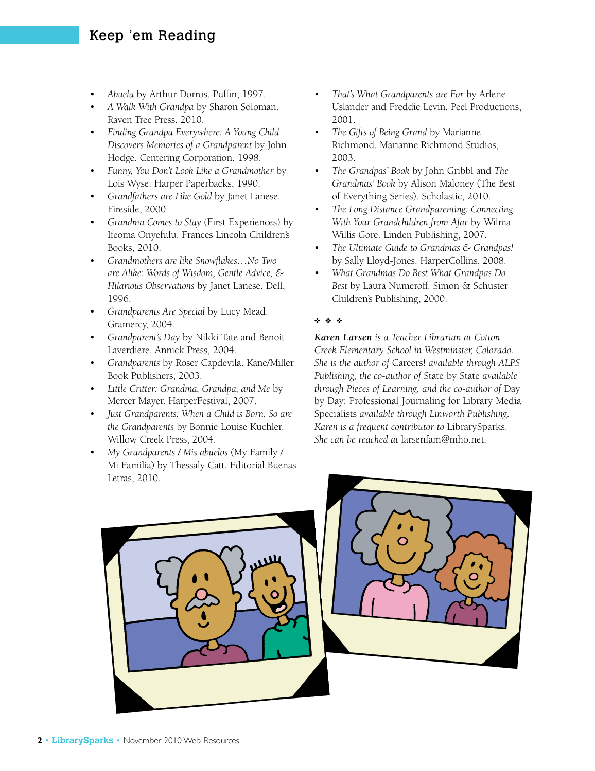### Keep 'em Reading

- *Abuela* by Arthur Dorros. Puffin, 1997.
- *A Walk With Grandpa* by Sharon Soloman. Raven Tree Press, 2010.
- *Finding Grandpa Everywhere: A Young Child Discovers Memories of a Grandparent* by John Hodge. Centering Corporation, 1998.
- *Funny, You Don't Look Like a Grandmother* by Lois Wyse. Harper Paperbacks, 1990.
- *Grandfathers are Like Gold* by Janet Lanese. Fireside, 2000.
- *Grandma Comes to Stay* (First Experiences) by Ifeoma Onyefulu. Frances Lincoln Children's Books, 2010.
- *Grandmothers are like Snowflakes…No Two are Alike: Words of Wisdom, Gentle Advice, & Hilarious Observations* by Janet Lanese. Dell, 1996.
- *Grandparents Are Special* by Lucy Mead. Gramercy, 2004.
- *Grandparent's Day* by Nikki Tate and Benoit Laverdiere. Annick Press, 2004.
- *Grandparents* by Roser Capdevila. Kane/Miller Book Publishers, 2003.
- *Little Critter: Grandma, Grandpa, and Me* by Mercer Mayer. HarperFestival, 2007.
- *Just Grandparents: When a Child is Born, So are the Grandparents* by Bonnie Louise Kuchler. Willow Creek Press, 2004.
- *My Grandparents / Mis abuelos* (My Family / Mi Familia) by Thessaly Catt. Editorial Buenas Letras, 2010.
- *That's What Grandparents are For* by Arlene Uslander and Freddie Levin. Peel Productions, 2001.
- *The Gifts of Being Grand* by Marianne Richmond. Marianne Richmond Studios, 2003.
- *The Grandpas' Book* by John Gribbl and *The Grandmas' Book* by Alison Maloney (The Best of Everything Series). Scholastic, 2010.
- *The Long Distance Grandparenting: Connecting With Your Grandchildren from Afar* by Wilma Willis Gore. Linden Publishing, 2007.
- *The Ultimate Guide to Grandmas & Grandpas!* by Sally Lloyd-Jones. HarperCollins, 2008.
- *What Grandmas Do Best What Grandpas Do Best* by Laura Numeroff. Simon & Schuster Children's Publishing, 2000.

#### ❖ ❖ ❖

*Karen Larsen is a Teacher Librarian at Cotton Creek Elementary School in Westminster, Colorado. She is the author of* Careers! *available through ALPS Publishing, the co-author of* State by State *available through Pieces of Learning, and the co-author of* Day by Day: Professional Journaling for Library Media Specialists *available through Linworth Publishing. Karen is a frequent contributor to* LibrarySparks. *She can be reached at* larsenfam@mho.net*.*